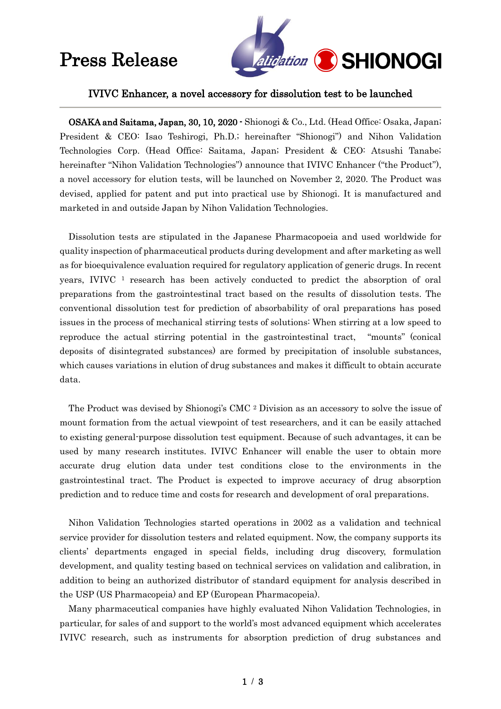## Press Release



### IVIVC Enhancer, a novel accessory for dissolution test to be launched

OSAKA and Saitama, Japan, 30, 10, 2020 - Shionogi & Co., Ltd. (Head Office: Osaka, Japan; President & CEO: Isao Teshirogi, Ph.D.; hereinafter "Shionogi") and Nihon Validation Technologies Corp. (Head Office: Saitama, Japan; President & CEO: Atsushi Tanabe; hereinafter "Nihon Validation Technologies") announce that IVIVC Enhancer ("the Product"), a novel accessory for elution tests, will be launched on November 2, 2020. The Product was devised, applied for patent and put into practical use by Shionogi. It is manufactured and marketed in and outside Japan by Nihon Validation Technologies.

Dissolution tests are stipulated in the Japanese Pharmacopoeia and used worldwide for quality inspection of pharmaceutical products during development and after marketing as well as for bioequivalence evaluation required for regulatory application of generic drugs. In recent years, IVIVC <sup>1</sup> research has been actively conducted to predict the absorption of oral preparations from the gastrointestinal tract based on the results of dissolution tests. The conventional dissolution test for prediction of absorbability of oral preparations has posed issues in the process of mechanical stirring tests of solutions: When stirring at a low speed to reproduce the actual stirring potential in the gastrointestinal tract, "mounts" (conical deposits of disintegrated substances) are formed by precipitation of insoluble substances, which causes variations in elution of drug substances and makes it difficult to obtain accurate data.

The Product was devised by Shionogi's CMC <sup>2</sup> Division as an accessory to solve the issue of mount formation from the actual viewpoint of test researchers, and it can be easily attached to existing general-purpose dissolution test equipment. Because of such advantages, it can be used by many research institutes. IVIVC Enhancer will enable the user to obtain more accurate drug elution data under test conditions close to the environments in the gastrointestinal tract. The Product is expected to improve accuracy of drug absorption prediction and to reduce time and costs for research and development of oral preparations.

Nihon Validation Technologies started operations in 2002 as a validation and technical service provider for dissolution testers and related equipment. Now, the company supports its clients' departments engaged in special fields, including drug discovery, formulation development, and quality testing based on technical services on validation and calibration, in addition to being an authorized distributor of standard equipment for analysis described in the USP (US Pharmacopeia) and EP (European Pharmacopeia).

Many pharmaceutical companies have highly evaluated Nihon Validation Technologies, in particular, for sales of and support to the world's most advanced equipment which accelerates IVIVC research, such as instruments for absorption prediction of drug substances and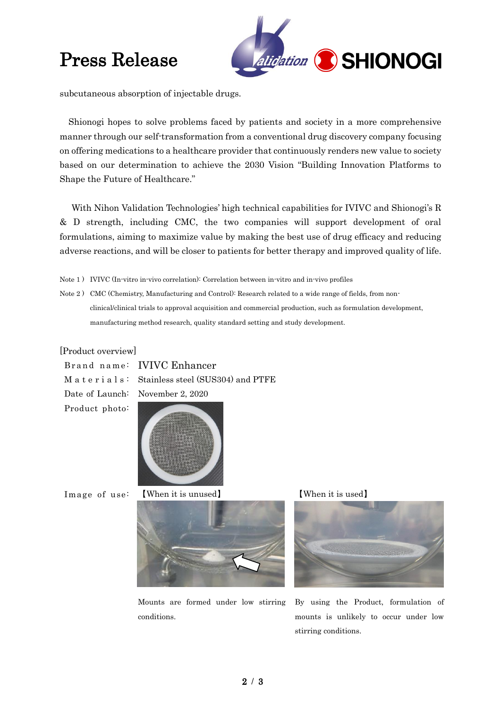## Press Release



subcutaneous absorption of injectable drugs.

Shionogi hopes to solve problems faced by patients and society in a more comprehensive manner through our self-transformation from a conventional drug discovery company focusing on offering medications to a healthcare provider that continuously renders new value to society based on our determination to achieve the 2030 Vision "Building Innovation Platforms to Shape the Future of Healthcare."

With Nihon Validation Technologies' high technical capabilities for IVIVC and Shionogi's R & D strength, including CMC, the two companies will support development of oral formulations, aiming to maximize value by making the best use of drug efficacy and reducing adverse reactions, and will be closer to patients for better therapy and improved quality of life.

- Note 1 ) IVIVC (In-vitro in-vivo correlation): Correlation between in-vitro and in-vivo profiles
- Note 2 ) CMC (Chemistry, Manufacturing and Control): Research related to a wide range of fields, from nonclinical/clinical trials to approval acquisition and commercial production, such as formulation development, manufacturing method research, quality standard setting and study development.

#### [Product overview]

Brand name: IVIVC Enhancer

M a t e r i a l s: Stainless steel (SUS304) and PTFE

Date of Launch: November 2, 2020

Product photo:



Image of use: 【When it is unused】







Mounts are formed under low stirring conditions.

By using the Product, formulation of mounts is unlikely to occur under low stirring conditions.